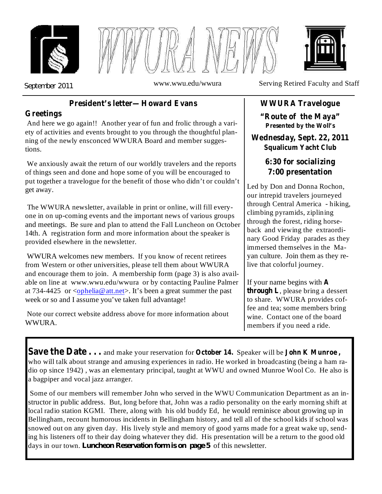





*September 2011* www.wwu.edu/wwura Serving Retired Faculty and Staff

## **President's letter—Howard Evans**

## **Greetings**

And here we go again!! Another year of fun and frolic through a variety of activities and events brought to you through the thoughtful planning of the newly ensconced WWURA Board and member suggestions.

We anxiously await the return of our worldly travelers and the reports of things seen and done and hope some of you will be encouraged to put together a travelogue for the benefit of those who didn't or couldn't get away.

The WWURA newsletter, available in print or online, will fill everyone in on up-coming events and the important news of various groups and meetings. Be sure and plan to attend the Fall Luncheon on October 14th. A registration form and more information about the speaker is provided elsewhere in the newsletter.

WWURA welcomes new members. If you know of recent retirees from Western or other universities, please tell them about WWURA and encourage them to join. A membership form (page 3) is also available on line at www.wwu.edu/wwura or by contacting Pauline Palmer at 734-4425 or  $\langle \text{ophelia} \, @ \, \text{att.net} \rangle$ . It's been a great summer the past week or so and I assume you've taken full advantage!

Note our correct website address above for more information about WWURA.

## **WWURA Travelogue**

**"Route of the Maya" Presented by the Woll's**

**Wednesday, Sept. 22, 2011 Squalicum Yacht Club**

## **6:30 for socializing 7:00 presentation**

Led by Don and Donna Rochon, our intrepid travelers journeyed through Central America - hiking, climbing pyramids, ziplining through the forest, riding horseback and viewing the extraordinary Good Friday parades as they immersed themselves in the Mayan culture. Join them as they relive that colorful journey.

If your name begins with **A through L**, please bring a dessert to share. WWURA provides coffee and tea; some members bring wine. Contact one of the board members if you need a ride.

and make your reservation for Speaker will be **Save the Date . . . October 14. John K Munroe ,** who will talk about strange and amusing experiences in radio. He worked in broadcasting (being a ham radio op since 1942) , was an elementary principal, taught at WWU and owned Munroe Wool Co. He also is a bagpiper and vocal jazz arranger.

Some of our members will remember John who served in the WWU Communication Department as an instructor in public address. But, long before that, John was a radio personality on the early morning shift at local radio station KGMI. There, along with his old buddy Ed, he would reminisce about growing up in Bellingham, recount humorous incidents in Bellingham history, and tell all of the school kids if school was snowed out on any given day. His lively style and memory of good yarns made for a great wake up, sending his listeners off to their day doing whatever they did. His presentation will be a return to the good old days in our town. *Luncheon Reservation form is on page* 5 of this newsletter.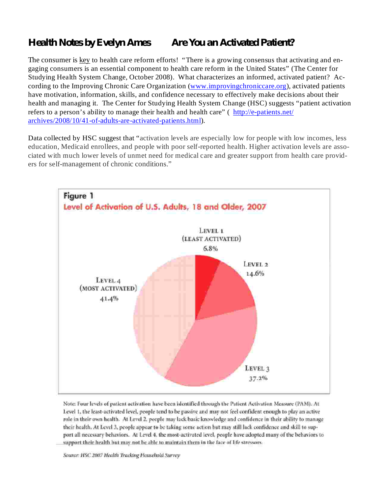# *Health Notes by Evelyn Ames Are You an Activated Patient?*

The consumer is key to health care reform efforts! "There is a growing consensus that activating and engaging consumers is an essential component to health care reform in the United States" (The Center for Studying Health System Change, October 2008). What characterizes an informed, activated patient? According to the Improving Chronic Care Organization (www.improvingchroniccare.org), activated patients have motivation, information, skills, and confidence necessary to effectively make decisions about their health and managing it. The Center for Studying Health System Change (HSC) suggests "patient activation refers to a person's ability to manage their health and health care" (http://e-patients.net/ archives/2008/10/41-of-adults-are-activated-patients.html).

Data collected by HSC suggest that "activation levels are especially low for people with low incomes, less education, Medicaid enrollees, and people with poor self-reported health. Higher activation levels are associated with much lower levels of unmet need for medical care and greater support from health care providers for self-management of chronic conditions."



Note: Four levels of patient activation have been identified through the Patient Activation Measure (PAM). At Level 1, the least-activated level, people tend to be passive and may not feel confident enough to play an active role in their own health. At Level 2, people may lack basic knowledge and confidence in their ability to manage their health. At Level 3, people appear to be taking some action but may still lack confidence and skill to support all necessary behaviors. At Level 4, the most-activated level, people have adopted many of the behaviors to support their health but may not be able to maintain them in the face of life stressors.

Source: HSC 2007 Health Tracking Household Survey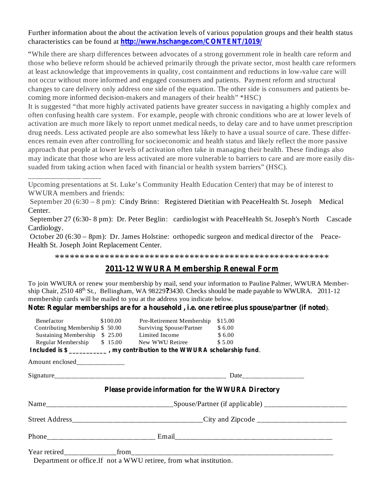Further information about the about the activation levels of various population groups and their health status characteristics can be found at **http://www.hschange.com/CONTENT/1019/**

"While there are sharp differences between advocates of a strong government role in health care reform and those who believe reform should be achieved primarily through the private sector, most health care reformers at least acknowledge that improvements in quality, cost containment and reductions in low-value care will not occur without more informed and engaged consumers and patients. Payment reform and structural changes to care delivery only address one side of the equation. The other side is consumers and patients becoming more informed decision-makers and managers of their health" \*HSC)

It is suggested "that more highly activated patients have greater success in navigating a highly complex and often confusing health care system. For example, people with chronic conditions who are at lower levels of activation are much more likely to report unmet medical needs, to delay care and to have unmet prescription drug needs. Less activated people are also somewhat less likely to have a usual source of care. These differences remain even after controlling for socioeconomic and health status and likely reflect the more passive approach that people at lower levels of activation often take in managing their health. These findings also may indicate that those who are less activated are more vulnerable to barriers to care and are more easily dissuaded from taking action when faced with financial or health system barriers" (HSC).

Upcoming presentations at St. Luke's Community Health Education Center) that may be of interest to WWURA members and friends:

 $\frac{1}{2}$  ,  $\frac{1}{2}$  ,  $\frac{1}{2}$  ,  $\frac{1}{2}$  ,  $\frac{1}{2}$  ,  $\frac{1}{2}$  ,  $\frac{1}{2}$  ,  $\frac{1}{2}$  ,  $\frac{1}{2}$  ,  $\frac{1}{2}$  ,  $\frac{1}{2}$ 

September 20 (6:30 – 8 pm): Cindy Brinn: Registered Dietitian with PeaceHealth St. Joseph Medical Center.

September 27 (6:30- 8 pm): Dr. Peter Beglin: cardiologist with PeaceHealth St. Joseph's North Cascade Cardiology.

October 20 (6:30 – 8pm): Dr. James Holstine: orthopedic surgeon and medical director of the Peace-Health St. Joseph Joint Replacement Center.

\*\*\*\*\*\*\*\*\*\*\*\*\*\*\*\*\*\*\*\*\*\*\*\*\*\*\*\*\*\*\*\*\*\*\*\*\*\*\*\*\*\*\*\*\*\*\*\*\*\*\*\*\*\*\*

#### **2011-12 WWURA Membership Renewal Form**

To join WWURA or renew your membership by mail, send your information to Pauline Palmer, WWURA Membership Chair, 2510 48<sup>th</sup> St., Bellingham, WA 98229?3430. Checks should be made payable to WWURA. 2011-12 membership cards will be mailed to you at the address you indicate below.

). **Note: Regular memberships are for a household , i.e. one retiree plus spouse/partner (if noted**

| Benefactor                      | \$100.00 | Pre-Retirement Membership                                                | \$15.00 |
|---------------------------------|----------|--------------------------------------------------------------------------|---------|
| Contributing Membership \$50.00 |          | Surviving Spouse/Partner \$6.00                                          |         |
|                                 |          | Sustaining Membership \$25.00 Limited Income \$6.00                      |         |
|                                 |          | Regular Membership \$15.00 New WWU Retiree                               | \$5.00  |
|                                 |          | Included is \$ _________, my contribution to the WWURA scholarship fund. |         |
| Amount enclosed_____________    |          |                                                                          |         |
|                                 |          |                                                                          |         |
|                                 |          | Please provide information for the WWURA Directory                       |         |
|                                 |          |                                                                          |         |
|                                 |          |                                                                          |         |
|                                 |          |                                                                          |         |
|                                 |          |                                                                          |         |
|                                 |          | Department or office. If not a WWU retiree, from what institution.       |         |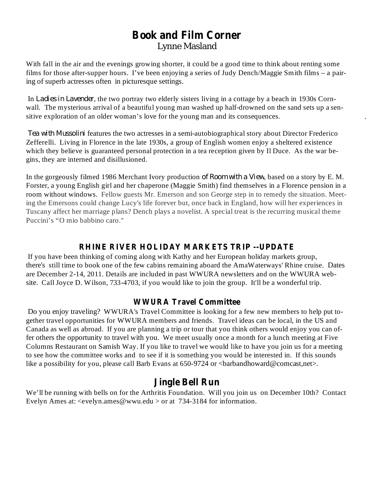# Lynne Masland **Book and Film Corner**

With fall in the air and the evenings growing shorter, it could be a good time to think about renting some films for those after-supper hours. I've been enjoying a series of Judy Dench/Maggie Smith films – a pairing of superb actresses often in picturesque settings.

In *Ladies in Lavender*, the two portray two elderly sisters living in a cottage by a beach in 1930s Cornwall. The mysterious arrival of a beautiful young man washed up half-drowned on the sand sets up a sensitive exploration of an older woman's love for the young man and its consequences.

.

*Tea with Mussolini* features the two actresses in a semi-autobiographical story about Director Frederico Zefferelli. Living in Florence in the late 1930s, a group of English women enjoy a sheltered existence which they believe is guaranteed personal protection in a tea reception given by Il Duce. As the war begins, they are interned and disillusioned.

Puccini's "O mio babbino caro." In the gorgeously filmed 1986 Merchant Ivory production of Room with a View, based on a story by E. M. Forster, a young English girl and her chaperone (Maggie Smith) find themselves in a Florence pension in a room without windows. Fellow guests Mr. Emerson and son George step in to remedy the situation. Meeting the Emersons could change Lucy's life forever but, once back in England, how will her experiences in Tuscany affect her marriage plans? Dench plays a novelist. A special treat is the recurring musical theme

#### **RHINE RIVER HOLIDAY MARKETS TRIP --UPDATE**

If you have been thinking of coming along with Kathy and her European holiday markets group, there's still time to book one of the few cabins remaining aboard the AmaWaterways' Rhine cruise. Dates are December 2-14, 2011. Details are included in past WWURA newsletters and on the WWURA website. Call Joyce D. Wilson, 733-4703, if you would like to join the group. It'll be a wonderful trip.

#### **WWURA Travel Committee**

Do you enjoy traveling? WWURA's Travel Committee is looking for a few new members to help put together travel opportunities for WWURA members and friends. Travel ideas can be local, in the US and Canada as well as abroad. If you are planning a trip or tour that you think others would enjoy you can offer others the opportunity to travel with you. We meet usually once a month for a lunch meeting at Five Columns Restaurant on Samish Way. If you like to travel we would like to have you join us for a meeting to see how the committee works and to see if it is something you would be interested in. If this sounds like a possibility for you, please call Barb Evans at 650-9724 or <br/>barbandhoward@comcast,net>.

# **Jingle Bell Run**

We'll be running with bells on for the Arthritis Foundation. Will you join us on December 10th? Contact Evelyn Ames at: <evelyn.ames@wwu.edu > or at 734-3184 for information.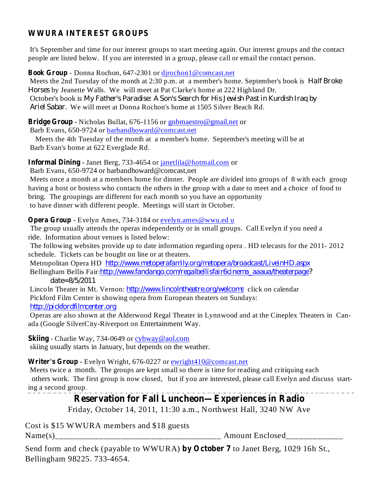## **WWURA INTEREST GROUPS**

It's September and time for our interest groups to start meeting again. Our interest groups and the contact people are listed below. If you are interested in a group, please call or email the contact person.

**Book Group** - Donna Rochon, 647-2301 or djrochon1@comcast.net

Meets the 2nd Tuesday of the month at 2:30 p.m. at a member's home. September's book is *Half Broke* Horses by Jeanette Walls. We will meet at Pat Clarke's home at 222 Highland Dr. October's book is *My Father's Paradise: A Son's Search for His Jewish Past in Kurdish Iraq by* Ariel Sabar. We will meet at Donna Rochon's home at 1505 Silver Beach Rd.

**Bridge Group** - Nicholas Bullat, 676-1156 or gnbmaestro@gmail.net or

Barb Evans, 650-9724 or barbandhoward@comcast.net

Meets the 4th Tuesday of the month at a member's home. September's meeting will be at Barb Evan's home at 622 Everglade Rd.

**Informal Dining** - Janet Berg, 733-4654 or janetlila@hotmail.com or

Barb Evans, 650-9724 or barbandhoward@comcast,net

Meets once a month at a members home for dinner. People are divided into groups of 8 with each group having a host or hostess who contacts the others in the group with a date to meet and a choice of food to bring. The groupings are different for each month so you have an opportunity to have dinner with different people. Meetings will start in October.

**Opera Group** - Evelyn Ames, 734-3184 or evelyn.ames@wwu.ed u

The group usually attends the operas independently or in small groups. Call Evelyn if you need a ride. Information about venues is listed below:

The following websites provide up to date information regarding opera . HD telecasts for the 2011- 2012 schedule. Tickets can be bought on line or at theaters.

Metropolitan Opera HD *http://www.metoperafamily.org/metopera/broadcast/LiveinHD.aspx* Bellingham Bellis Fair: *http://www.fandango.com/regalbellisfair6cinema\_aaaua/theaterpage?*

*date=8/5/2011*

Lincoln Theater in Mt. Vernon: *http://www.lincolntheatre.org/welcome* click on calendar Pickford Film Center is showing opera from European theaters on Sundays: *http://pickfordfilmcenter.org*

Operas are also shown at the Alderwood Regal Theater in Lynnwood and at the Cineplex Theaters in Canada (Google SilverCity-Riverport on Entertainment Way.

Skiing - Charlie Way, 734-0649 or cybway@aol.com skiing usually starts in January, but depends on the weather.

**Writer's Group** - Evelyn Wright, 676-0227 or ewright410@comcast.net

Meets twice a month. The groups are kept small so there is time for reading and critiquing each others work. The first group is now closed, but if you are interested, please call Evelyn and discuss starting a second group .

# **Reservation for Fall Luncheon—Experiences in Radio**

Friday, October 14, 2011, 11:30 a.m., Northwest Hall, 3240 NW Ave

Cost is \$15 WWURA members and \$18 guests

Name(s)\_\_\_\_\_\_\_\_\_\_\_\_\_\_\_\_\_\_\_\_\_\_\_\_\_\_\_\_\_\_\_\_\_\_\_\_\_\_ Amount Enclosed\_\_\_\_\_\_\_\_\_\_\_\_\_

Send form and check (payable to WWURA) by October 7 to Janet Berg, 1029 16h St., Bellingham 98225. 733-4654.